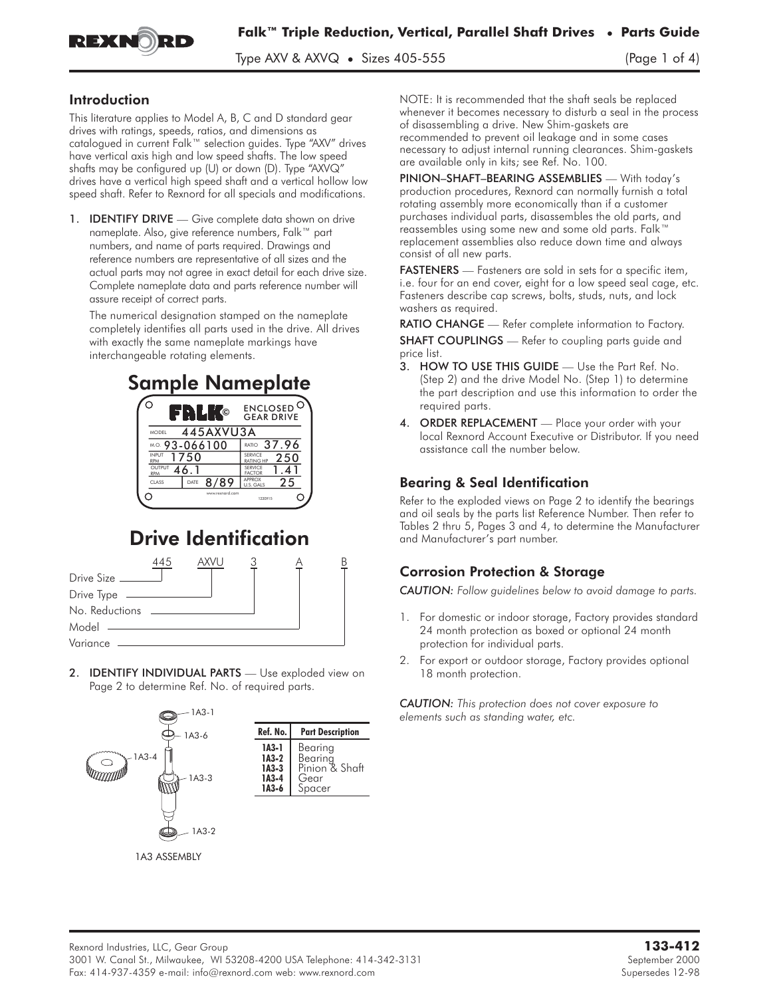

Type AXV & AXV $\mathbb Q$  • Sizes 405-555 (Page 1 of 4)

### Introduction

This literature applies to Model A, B, C and D standard gear drives with ratings, speeds, ratios, and dimensions as catalogued in current Falk™ selection guides. Type "AXV" drives have vertical axis high and low speed shafts. The low speed shafts may be configured up (U) or down (D). Type "AXVQ" drives have a vertical high speed shaft and a vertical hollow low speed shaft. Refer to Rexnord for all specials and modifications.

1. **IDENTIFY DRIVE** — Give complete data shown on drive nameplate. Also, give reference numbers, Falk™ part numbers, and name of parts required. Drawings and reference numbers are representative of all sizes and the actual parts may not agree in exact detail for each drive size. Complete nameplate data and parts reference number will assure receipt of correct parts.

The numerical designation stamped on the nameplate completely identifies all parts used in the drive. All drives with exactly the same nameplate markings have interchangeable rotating elements.





# Drive Identification

|                  | 445 | AXVU |  |  |
|------------------|-----|------|--|--|
| Drive Size       |     |      |  |  |
| Drive Type ————— |     |      |  |  |
| No. Reductions   |     |      |  |  |
| Model            |     |      |  |  |
| Variance         |     |      |  |  |

2. **IDENTIFY INDIVIDUAL PARTS** - Use exploded view on Page 2 to determine Ref. No. of required parts.



NOTE: It is recommended that the shaft seals be replaced whenever it becomes necessary to disturb a seal in the process of disassembling a drive. New Shim-gaskets are recommended to prevent oil leakage and in some cases necessary to adjust internal running clearances. Shim-gaskets are available only in kits; see Ref. No. 100.

PINION–SHAFT–BEARING ASSEMBLIES — With today's production procedures, Rexnord can normally furnish a total rotating assembly more economically than if a customer purchases individual parts, disassembles the old parts, and reassembles using some new and some old parts. Falk™ replacement assemblies also reduce down time and always consist of all new parts.

FASTENERS - Fasteners are sold in sets for a specific item, i.e. four for an end cover, eight for a low speed seal cage, etc. Fasteners describe cap screws, bolts, studs, nuts, and lock washers as required.

**RATIO CHANGE** — Refer complete information to Factory. **SHAFT COUPLINGS** — Refer to coupling parts guide and price list.

- 3. HOW TO USE THIS GUIDE Use the Part Ref. No. (Step 2) and the drive Model No. (Step 1) to determine the part description and use this information to order the required parts.
- 4. ORDER REPLACEMENT Place your order with your local Rexnord Account Executive or Distributor. If you need assistance call the number below.

# Bearing & Seal Identification

Refer to the exploded views on Page 2 to identify the bearings and oil seals by the parts list Reference Number. Then refer to Tables 2 thru 5, Pages 3 and 4, to determine the Manufacturer and Manufacturer's part number.

# Corrosion Protection & Storage

*CAUTION: Follow guidelines below to avoid damage to parts.*

- 1. For domestic or indoor storage, Factory provides standard 24 month protection as boxed or optional 24 month protection for individual parts.
- 2. For export or outdoor storage, Factory provides optional 18 month protection.

*CAUTION: This protection does not cover exposure to elements such as standing water, etc.*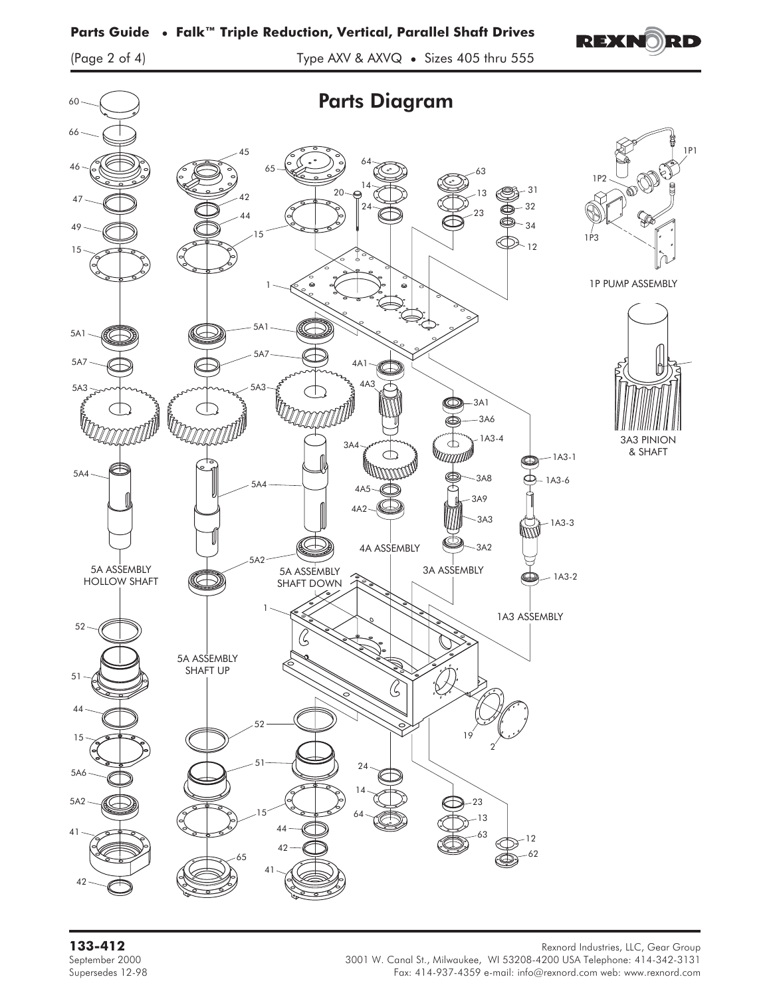# **Parts Guide • Falk™ Triple Reduction, Vertical, Parallel Shaft Drives**



(Page 2 of 4) Type AXV & AXVQ • Sizes 405 thru 555



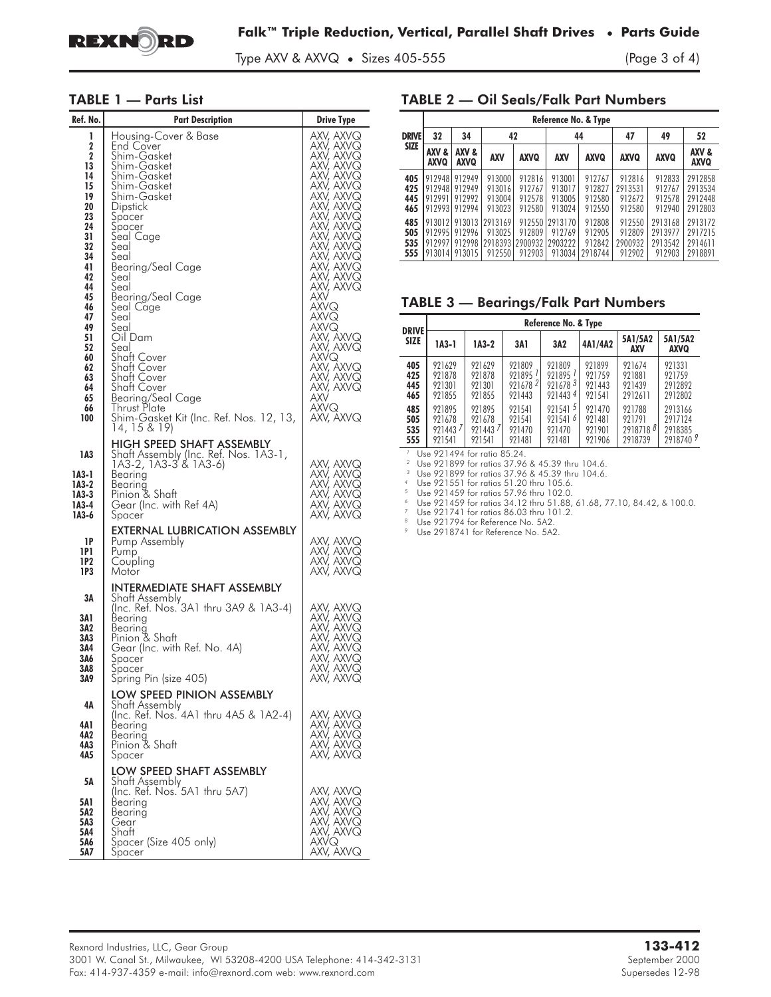

Type AXV & AXVQ • Sizes 405-555 (Page 3 of 4)

### TABLE 1 — Parts List

| Ref. No.                                                                                                                                                                           | <b>Part Description</b>                                                                                                                                                                                                                                                                                                                                                                                                                                | <b>Drive Type</b>                                                                                                                                                                                                                                                                                                                                                                                                              |
|------------------------------------------------------------------------------------------------------------------------------------------------------------------------------------|--------------------------------------------------------------------------------------------------------------------------------------------------------------------------------------------------------------------------------------------------------------------------------------------------------------------------------------------------------------------------------------------------------------------------------------------------------|--------------------------------------------------------------------------------------------------------------------------------------------------------------------------------------------------------------------------------------------------------------------------------------------------------------------------------------------------------------------------------------------------------------------------------|
| 1<br>2<br>$\mathbf 2$<br>13<br>14<br>15<br>19<br>20<br>23<br>24<br>31<br>32<br>34<br>41<br>42<br>44<br>45<br>46<br>47<br>49<br>51<br>52<br>60<br>62<br>63<br>64<br>65<br>66<br>100 | Housing-Cover & Base<br><b>End Cover</b><br>Shim-Gasket<br>Shim-Gasket<br>Shim-Gasket<br>Shim-Gasket<br>Shim-Gasket<br>Dipstick<br>Spacer<br>Spacer<br>Seal Cage<br>Seal<br>Šeal<br>Bearing/Seal Cage<br>Seal<br>Seal<br>Bearing/Seal Cage<br>Seal Cage<br>Seal<br>Seal<br>Oil Dam<br>Seal<br>Shatt Cover<br>Shaft Cover<br>Shaft Cover<br>Shatt Cover<br>Bearing/Seal Cage<br>Thrust Plate<br>Shim-Gasket Kit (Inc. Ref. Nos. 12, 13,<br>14, 15 & 19) | AXV, AXVQ<br>AXV, AXVQ<br>AXV, AXVQ<br>AXV, AXVQ<br>AXV, AXVQ<br>AXV, AXVQ<br>AXV, AXVQ<br>AXV, AXVQ<br>AXV, AXVQ<br>AXV, AXVQ<br>AXV, AXVQ<br>AXV, AXVQ<br>AXV, AXVQ<br>AXV, AXVQ<br>AXV, AXVQ<br>AXV, AXVQ<br>AXV, AXVQ<br>AXV, AXVQ<br>AXV, AXVQ<br>AXV, AXVQ<br>AXV, AXVQ<br>AXV, AXVQ<br>axvq<br>AXVQ<br>AXVQ<br>axv, äxvq<br>axv, axvq<br>axvq<br>AXV, AXVQ<br>AXV, AXVQ<br>AXV, AXVQ<br>AXV<br><b>AXVQ</b><br>AXV, AXVQ |
| 1A3<br>1A3-1<br>1A3-2<br>1A3-3<br>1A3-4<br>1A3-6                                                                                                                                   | <b>HIGH SPEED SHAFT ASSEMBLY</b><br>Shaft Assembly (Inc. Ref. Nos. 1A3-1,<br>1A3-2, 1A3-3 & 1A3-6)<br>Bearing<br>Bearing<br>Pinion & Shaft<br>Gear (Inc. with Ref 4A)<br>Spacer                                                                                                                                                                                                                                                                        | AXV, AXVQ<br>AXV, AXVQ<br>AXV, AXVQ<br>AXV, AXVQ<br>AXV, AXVQ<br>AXV, AXVQ                                                                                                                                                                                                                                                                                                                                                     |
| 1P<br>1P1<br>1 P 2<br>1P3                                                                                                                                                          | EXTERNAL LUBRICATION ASSEMBLY<br>Pump Assembly<br>Pump<br>Coupling<br>Motor                                                                                                                                                                                                                                                                                                                                                                            | AXV, AXVQ<br>AXV, AXVQ<br>AXV, AXVQ<br>AXV, AXVQ                                                                                                                                                                                                                                                                                                                                                                               |
| ЗΑ<br>3A1<br>3A2<br>3A3<br>3A4<br>3A6<br>3A8<br>3A9                                                                                                                                | INTERMEDIATE SHAFT ASSEMBLY<br>Shaft Assembly<br>(Inc. Ref. Nos. 3A1 thru 3A9 & 1A3-4)<br>Bearing<br>Bearing<br>Pinion & Shaft<br>Gear (Inc. with Ref. No. 4A)<br>Spacer<br>Spacer<br>Spring Pin (size 405)                                                                                                                                                                                                                                            | AXV, AXVQ<br>AXV, AXVQ<br>AXV, AXVQ<br>AXV, AXVQ<br>AXV, AXVQ<br>AXV, AXVQ<br>AXV, AXVQ<br>axv, axvq                                                                                                                                                                                                                                                                                                                           |
| 4Α<br>4A1<br>4A2<br>4А3<br>4A5                                                                                                                                                     | LOW SPEED PINION ASSEMBLY<br>Shatt Assembly<br>(Inc. Ref. Nos. 4A1 thru 4A5 & 1A2-4)<br>Bearing<br>Bearina<br>Pinion & Shaft<br>Spacer                                                                                                                                                                                                                                                                                                                 | AXV, AXVQ<br>AXV, AXVQ<br>AXV, AXVQ<br>AXV, AXVQ<br>AXV, AXVQ                                                                                                                                                                                                                                                                                                                                                                  |
| 5Α<br>5A 1<br>5A2<br>5A3<br>5A4<br>5A6<br>5A7                                                                                                                                      | LOW SPEED SHAFT ASSEMBLY<br>Shaft Assembly<br>(Inc. Ref. Nos. 5A1 thru 5A7)<br>Bearing<br>Bearing<br>Gear<br>Shaft<br>Spacer (Size 405 only)<br>Spacer                                                                                                                                                                                                                                                                                                 | AXV, AXVQ<br>AXV, AXVQ<br>AXV, AXVQ<br>AXV, AXVQ<br>AXV, AXVQ<br>AXVQ<br>AXV, AXVQ                                                                                                                                                                                                                                                                                                                                             |

### TABLE 2 — Oil Seals/Falk Part Numbers

|                          | Reference No. & Type |                                                    |                                           |                                      |                                                               |                                       |                                       |                                         |                                          |
|--------------------------|----------------------|----------------------------------------------------|-------------------------------------------|--------------------------------------|---------------------------------------------------------------|---------------------------------------|---------------------------------------|-----------------------------------------|------------------------------------------|
| <b>DRIVE</b>             | 32                   | 34                                                 |                                           | 42                                   |                                                               | 44                                    | 47                                    | 49                                      | 52                                       |
| <b>SIZE</b>              | AXV &<br><b>AXVQ</b> | AXV &<br><b>AXVQ</b>                               | <b>AXV</b>                                | <b>AXVQ</b>                          | <b>AXV</b>                                                    | <b>AXVQ</b>                           | <b>AXVQ</b>                           | <b>AXVQ</b>                             | AXV &<br><b>AXVQ</b>                     |
| 405<br>425<br>445<br>465 | 912948<br>9129911    | 912949<br>912948 912949<br>912992<br>912993 912994 | 913000<br>913016<br>913004<br>913023      | 912816<br>912767<br>912578<br>912580 | 913001<br>913017<br>913005<br>913024                          | 912767<br>912827<br>912580<br>912550  | 912816<br>2913531<br>912672<br>912580 | 912833<br>912767<br>912578<br>912940    | 2912858<br>2913534<br>2912448<br>2912803 |
| 485<br>505<br>535<br>555 | 912995               | 912996<br>912997 912998<br> 913014 913015          | 913012 913013 2913169<br>913025<br>912550 | 912809<br>912903                     | 912550 2913170<br>912769<br>2918393 2900932 2903222<br>913034 | 912808<br>912905<br>912842<br>2918744 | 912550<br>912809<br>2900932<br>912902 | 2913168<br>2913977<br>2913542<br>912903 | 2913172<br>2917215<br>2914611<br>2918891 |

### TABLE 3 — Bearings/Falk Part Numbers

|                             | Reference No. & Type |                       |                       |                       |         |                |                      |
|-----------------------------|----------------------|-----------------------|-----------------------|-----------------------|---------|----------------|----------------------|
| <b>DRIVE</b><br><b>SIZE</b> | 1A3-1                | $IA3-2$               | 3A1                   | 3A2                   | 4A1/4A2 | 5A1/5A2<br>AXV | 5A1/5A2<br>AXVQ      |
| 405                         | 921629               | 921629                | 921809                | 921809                | 921899  | 921674         | 921331               |
| 425                         | 921878               | 921878                | $921895$ <sup>1</sup> | $921895$ <sup>1</sup> | 921759  | 921881         | 921759               |
| 445                         | 921301               | 921301                | 92167821              | 9216783               | 921443  | 921439         | 2912892              |
| 465                         | 921855               | 921855                | 921443                | 9214434               | 921541  | 2912611        | 2912802              |
| 485                         | 921895               | 921895                | 921541                | 9215415               | 921470  | 921788         | 2913166              |
| 505                         | 921678               | 921678                | 921541                | 9215416               | 921481  | 921791         | 2917124              |
| 535                         | 9214437              | $921443$ <sup>7</sup> | 921470                | 921470                | 921901  | 29187188       | 2918385              |
| 555                         | 921541               | 921541                | 921481                | 921481                | 921906  | 2918739        | 2918740 <sup>9</sup> |

blue 921494 for ratio 85.24.<br>
<sup>2</sup> Use 921899 for ratios 37.96 & 45.39 thru 104.6.<br>
<sup>3</sup> Use 921899 for ratios 37.96 & 45.39 thru 104.6.<br>
<sup>4</sup> Use 921551 for ratios 51.20 thru 105.6.<br>
<sup>5</sup> Use 921459 for ratios 57.96 thru 1

<sup>8</sup> Use 721741 for Reference No. 5A2.<br><sup>8</sup> Use 2918741 for Reference No. 5A2.